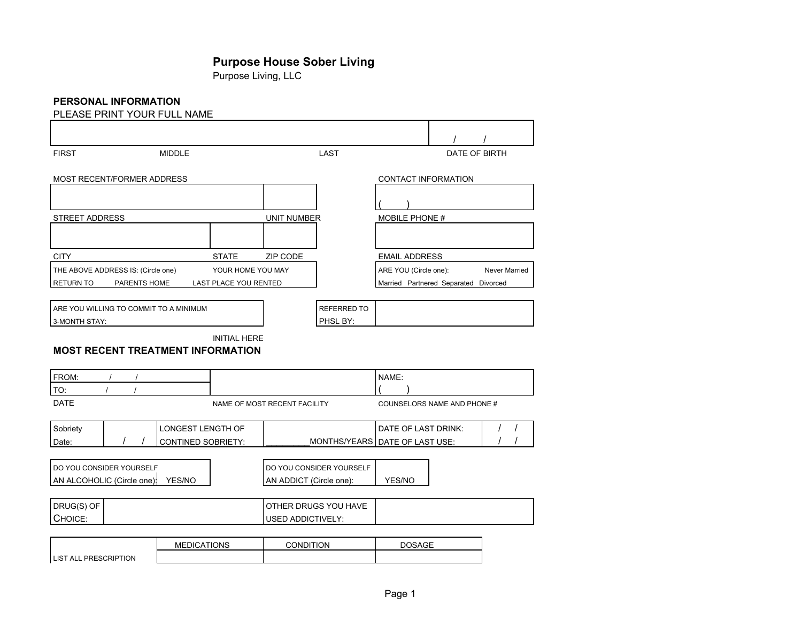# **Purpose House Sober Living**

Purpose Living, LLC

# **PERSONAL INFORMATION**

| PLEASE PRINT YOUR FULL NAME              |                       |                                           |                                      |               |               |
|------------------------------------------|-----------------------|-------------------------------------------|--------------------------------------|---------------|---------------|
|                                          |                       |                                           |                                      | $\prime$      | $\prime$      |
| <b>FIRST</b>                             | <b>MIDDLE</b>         | LAST                                      |                                      | DATE OF BIRTH |               |
| MOST RECENT/FORMER ADDRESS               |                       |                                           | CONTACT INFORMATION                  |               |               |
|                                          |                       |                                           |                                      |               |               |
| STREET ADDRESS                           |                       | <b>UNIT NUMBER</b>                        | <b>MOBILE PHONE #</b>                |               |               |
|                                          |                       |                                           |                                      |               |               |
| <b>CITY</b>                              | <b>STATE</b>          | ZIP CODE                                  | <b>EMAIL ADDRESS</b>                 |               |               |
| THE ABOVE ADDRESS IS: (Circle one)       | YOUR HOME YOU MAY     |                                           | ARE YOU (Circle one):                |               | Never Married |
| RETURN TO<br>PARENTS HOME                | LAST PLACE YOU RENTED |                                           | Married Partnered Separated Divorced |               |               |
|                                          |                       |                                           |                                      |               |               |
| ARE YOU WILLING TO COMMIT TO A MINIMUM   |                       | <b>REFERRED TO</b>                        |                                      |               |               |
| 3-MONTH STAY:                            |                       | PHSL BY:                                  |                                      |               |               |
| <b>MOST RECENT TREATMENT INFORMATION</b> | <b>INITIAL HERE</b>   |                                           |                                      |               |               |
| FROM:                                    |                       |                                           | NAME:                                |               |               |
| TO:                                      |                       |                                           |                                      |               |               |
| <b>DATE</b>                              |                       | NAME OF MOST RECENT FACILITY              | COUNSELORS NAME AND PHONE #          |               |               |
| Sobriety                                 | LONGEST LENGTH OF     |                                           | DATE OF LAST DRINK:                  |               |               |
| Date:                                    | CONTINED SOBRIETY:    | MONTHS/YEARS   DATE OF LAST USE:          |                                      |               |               |
| DO YOU CONSIDER YOURSELF                 |                       | DO YOU CONSIDER YOURSELF                  |                                      |               |               |
| AN ALCOHOLIC (Circle one):<br>YES/NO     |                       | AN ADDICT (Circle one):                   | YES/NO                               |               |               |
|                                          |                       |                                           |                                      |               |               |
| DRUG(S) OF<br>CHOICE:                    |                       | OTHER DRUGS YOU HAVE<br>USED ADDICTIVELY: |                                      |               |               |
|                                          |                       |                                           |                                      |               |               |
|                                          |                       |                                           |                                      |               |               |

|                                  | <b>MEDICATIONS</b> | CONDITION | DOSAGE |
|----------------------------------|--------------------|-----------|--------|
| PRESCRIPTION<br><b>ILIST ALL</b> |                    |           |        |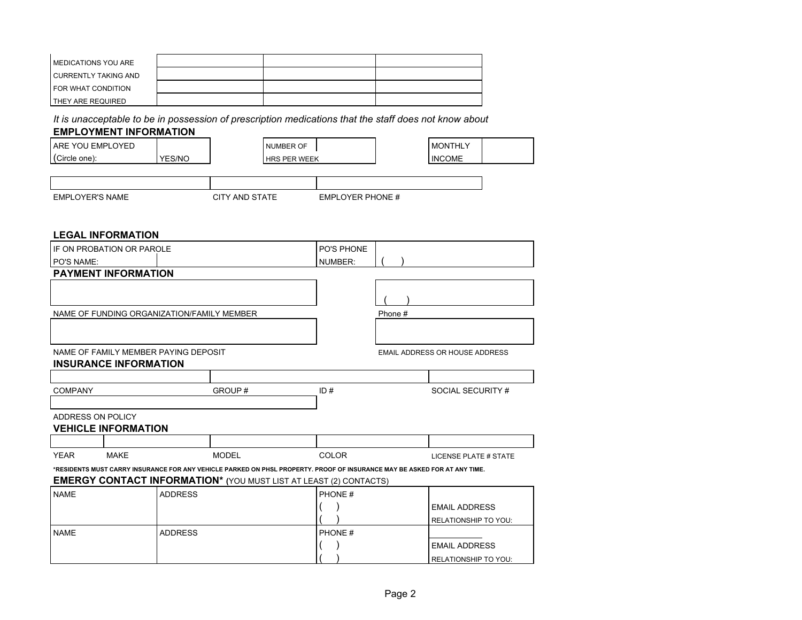| <b>IMEDICATIONS YOU ARE</b> |  |  |
|-----------------------------|--|--|
| I CURRENTLY TAKING AND      |  |  |
| <b>I FOR WHAT CONDITION</b> |  |  |
| <b>I THEY ARE REQUIRED</b>  |  |  |

*It is unacceptable to be in possession of prescription medications that the staff does not know about*

# **EMPLOYMENT INFORMATION**

| YOU EMPL<br>PLOYED<br>i ARE |               | <b>NUMBER OF</b>                     |  | <b>MONTHLY</b> |  |
|-----------------------------|---------------|--------------------------------------|--|----------------|--|
| l (Circle one):             | <b>YES/NO</b> | <b>PFR WFFK</b><br><b>HRS</b><br>ヽ、っ |  | 'INCOME        |  |

| <b>EMPLOYER'S NAME</b> |  |
|------------------------|--|
|                        |  |

CITY AND STATE EMPLOYER PHONE #

### **LEGAL INFORMATION**

| IF ON PROBATION OR PAROLE |                                            | PO'S PHONE     |                                                                                                                           |              |         |                                       |
|---------------------------|--------------------------------------------|----------------|---------------------------------------------------------------------------------------------------------------------------|--------------|---------|---------------------------------------|
| <b>PO'S NAME:</b>         |                                            |                |                                                                                                                           | NUMBER:      |         |                                       |
|                           | <b>PAYMENT INFORMATION</b>                 |                |                                                                                                                           |              |         |                                       |
|                           |                                            |                |                                                                                                                           |              |         |                                       |
|                           |                                            |                |                                                                                                                           |              |         |                                       |
|                           | NAME OF FUNDING ORGANIZATION/FAMILY MEMBER |                |                                                                                                                           |              | Phone # |                                       |
|                           |                                            |                |                                                                                                                           |              |         |                                       |
|                           |                                            |                |                                                                                                                           |              |         |                                       |
|                           | NAME OF FAMILY MEMBER PAYING DEPOSIT       |                |                                                                                                                           |              |         | <b>EMAIL ADDRESS OR HOUSE ADDRESS</b> |
|                           | <b>INSURANCE INFORMATION</b>               |                |                                                                                                                           |              |         |                                       |
|                           |                                            |                |                                                                                                                           |              |         |                                       |
| <b>COMPANY</b>            |                                            |                | GROUP#                                                                                                                    | ID#          |         | SOCIAL SECURITY #                     |
|                           |                                            |                |                                                                                                                           |              |         |                                       |
| ADDRESS ON POLICY         |                                            |                |                                                                                                                           |              |         |                                       |
|                           | <b>VEHICLE INFORMATION</b>                 |                |                                                                                                                           |              |         |                                       |
|                           |                                            |                |                                                                                                                           |              |         |                                       |
| <b>YEAR</b>               | <b>MAKE</b>                                |                | <b>MODEL</b>                                                                                                              | <b>COLOR</b> |         | <b>LICENSE PLATE # STATE</b>          |
|                           |                                            |                | *RESIDENTS MUST CARRY INSURANCE FOR ANY VEHICLE PARKED ON PHSL PROPERTY. PROOF OF INSURANCE MAY BE ASKED FOR AT ANY TIME. |              |         |                                       |
|                           |                                            |                | <b>EMERGY CONTACT INFORMATION*</b> (YOU MUST LIST AT LEAST (2) CONTACTS)                                                  |              |         |                                       |
| <b>NAME</b>               |                                            | <b>ADDRESS</b> |                                                                                                                           | PHONE #      |         |                                       |
|                           |                                            |                |                                                                                                                           |              |         | <b>EMAIL ADDRESS</b>                  |
|                           |                                            |                |                                                                                                                           |              |         | RELATIONSHIP TO YOU:                  |
| <b>NAME</b>               |                                            | <b>ADDRESS</b> |                                                                                                                           | PHONE#       |         |                                       |
|                           |                                            |                |                                                                                                                           |              |         | <b>EMAIL ADDRESS</b>                  |
|                           |                                            |                |                                                                                                                           |              |         | RELATIONSHIP TO YOU:                  |